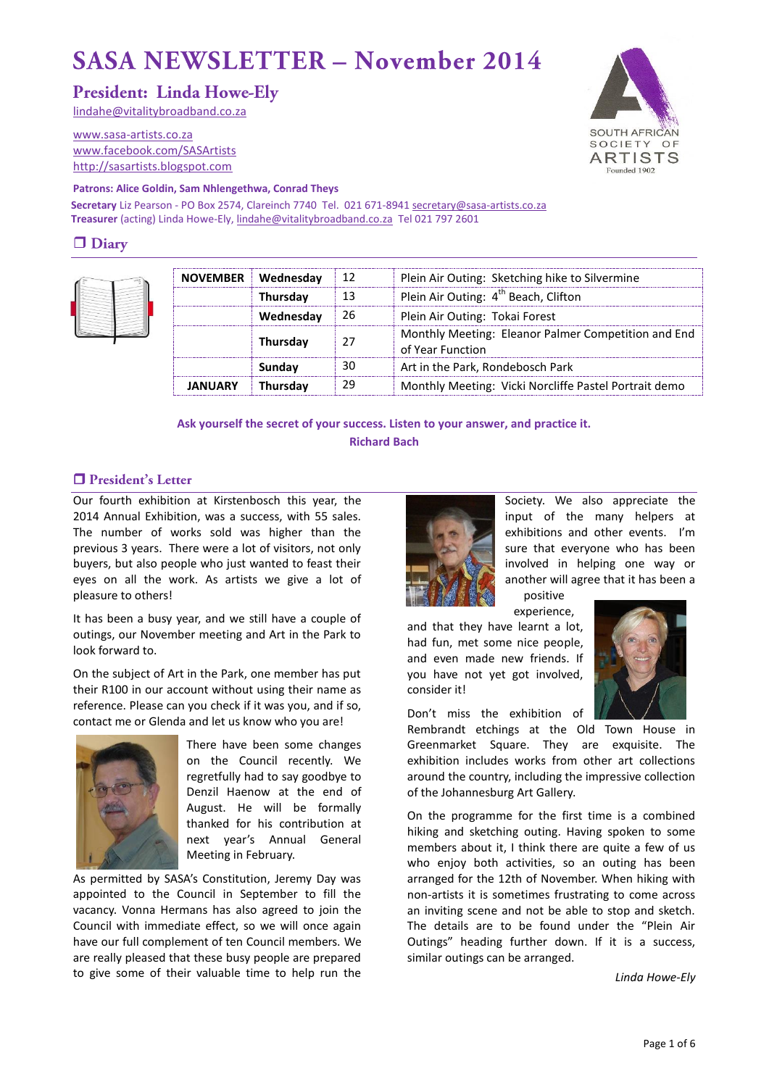# **SASA NEWSLETTER - November 2014**

# **President: Linda Howe-Elv**

[lindahe@vitalitybroadband.co.za](mailto:lindahe@vitalitybroadband.co.za)

[www.sasa-artists.co.za](http://www.sasa-artists.co.za/) [www.facebook.com/SASArtists](http://www.facebook.com/SASArtists) [http://sasartists.blogspot.com](http://sasartists.blogspot.com/)



#### **Patrons: Alice Goldin, Sam Nhlengethwa, Conrad Theys**

Secretary Liz Pearson - PO Box 2574, Clareinch 7740 Tel. 021 671-894[1 secretary@sasa-artists.co.za](mailto:secretary@sasa-artists.co.za) **Treasurer** (acting) Linda Howe-Ely[, lindahe@vitalitybroadband.co.za](mailto:lindahe@vitalitybroadband.co.za) Tel 021 797 2601

# $\Box$  Diary



| <b>NOVEMBER</b> | Wednesday | 12 | Plein Air Outing: Sketching hike to Silvermine                          |
|-----------------|-----------|----|-------------------------------------------------------------------------|
|                 | Thursday  | 13 | Plein Air Outing: 4 <sup>th</sup> Beach, Clifton                        |
|                 | Wednesday | 26 | Plein Air Outing: Tokai Forest                                          |
|                 | Thursday  | 27 | Monthly Meeting: Eleanor Palmer Competition and End<br>of Year Function |
|                 | Sundav    | 30 | Art in the Park, Rondebosch Park                                        |
| <b>JANUARY</b>  | Thursday  | 29 | Monthly Meeting: Vicki Norcliffe Pastel Portrait demo                   |

**Ask yourself the secret of your success. Listen to your answer, and practice it. Richard Bach**

## □ President's Letter

Our fourth exhibition at Kirstenbosch this year, the 2014 Annual Exhibition, was a success, with 55 sales. The number of works sold was higher than the previous 3 years. There were a lot of visitors, not only buyers, but also people who just wanted to feast their eyes on all the work. As artists we give a lot of pleasure to others!

It has been a busy year, and we still have a couple of outings, our November meeting and Art in the Park to look forward to.

On the subject of Art in the Park, one member has put their R100 in our account without using their name as reference. Please can you check if it was you, and if so, contact me or Glenda and let us know who you are!



There have been some changes on the Council recently. We regretfully had to say goodbye to Denzil Haenow at the end of August. He will be formally thanked for his contribution at next year's Annual General Meeting in February.

As permitted by SASA's Constitution, Jeremy Day was appointed to the Council in September to fill the vacancy. Vonna Hermans has also agreed to join the Council with immediate effect, so we will once again have our full complement of ten Council members. We are really pleased that these busy people are prepared to give some of their valuable time to help run the



Society. We also appreciate the input of the many helpers at exhibitions and other events. I'm sure that everyone who has been involved in helping one way or another will agree that it has been a

positive

experience, and that they have learnt a lot, had fun, met some nice people, and even made new friends. If you have not yet got involved, consider it!



Don't miss the exhibition of Rembrandt etchings at the Old Town House in

Greenmarket Square. They are exquisite. The exhibition includes works from other art collections around the country, including the impressive collection of the Johannesburg Art Gallery.

On the programme for the first time is a combined hiking and sketching outing. Having spoken to some members about it, I think there are quite a few of us who enjoy both activities, so an outing has been arranged for the 12th of November. When hiking with non-artists it is sometimes frustrating to come across an inviting scene and not be able to stop and sketch. The details are to be found under the "Plein Air Outings" heading further down. If it is a success, similar outings can be arranged.

*Linda Howe-Ely*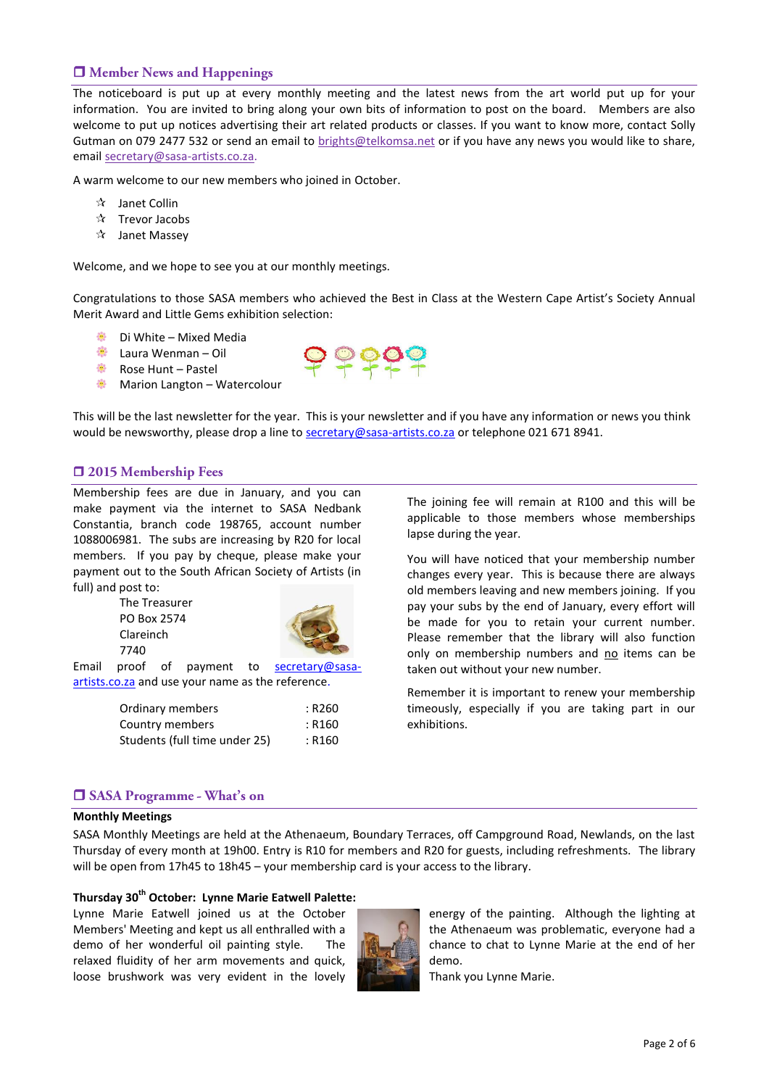## **I** Member News and Happenings

The noticeboard is put up at every monthly meeting and the latest news from the art world put up for your information. You are invited to bring along your own bits of information to post on the board. Members are also welcome to put up notices advertising their art related products or classes. If you want to know more, contact Solly Gutman on 079 2477 532 or send an email to [brights@telkomsa.net](mailto:brights@telkomsa.net) or if you have any news you would like to share, email [secretary@sasa-artists.co.za.](mailto:secretary@sasa-artists.co.za)

A warm welcome to our new members who joined in October.

- $\mathbf{\hat{x}}$  Janet Collin
- $\mathbf{\hat{x}}$  Trevor Jacobs
- $\mathbf{\hat{x}}$  Janet Massev

Welcome, and we hope to see you at our monthly meetings.

Congratulations to those SASA members who achieved the Best in Class at the Western Cape Artist's Society Annual Merit Award and Little Gems exhibition selection:

- Di White Mixed Media
- **装 Laura Wenman Oil**
- 戀 Rose Hunt – Pastel
- 寨 Marion Langton – Watercolour



This will be the last newsletter for the year. This is your newsletter and if you have any information or news you think would be newsworthy, please drop a line to [secretary@sasa-artists.co.za](mailto:secretary@sasa-artists.co.za) or telephone 021 671 8941.

## $\Box$  **2015 Membership Fees**

Membership fees are due in January, and you can make payment via the internet to SASA Nedbank Constantia, branch code 198765, account number 1088006981. The subs are increasing by R20 for local members. If you pay by cheque, please make your payment out to the South African Society of Artists (in full) and post to:

The Treasurer PO Box 2574 Clareinch 7740



Email proof of payment to **[secretary@sasa](mailto:secretary@sasa-artists.co.za)**[artists.co.za](mailto:secretary@sasa-artists.co.za) and use your name as the reference.

| Ordinary members              | : R260 |
|-------------------------------|--------|
| Country members               | : R160 |
| Students (full time under 25) | : R160 |

The joining fee will remain at R100 and this will be applicable to those members whose memberships lapse during the year.

You will have noticed that your membership number changes every year. This is because there are always old members leaving and new members joining. If you pay your subs by the end of January, every effort will be made for you to retain your current number. Please remember that the library will also function only on membership numbers and no items can be taken out without your new number.

Remember it is important to renew your membership timeously, especially if you are taking part in our exhibitions.

## **SASA Programme - What's on**

#### **Monthly Meetings**

SASA Monthly Meetings are held at the Athenaeum, Boundary Terraces, off Campground Road, Newlands, on the last Thursday of every month at 19h00. Entry is R10 for members and R20 for guests, including refreshments. The library will be open from 17h45 to 18h45 – your membership card is your access to the library.

#### **Thursday 30th October: Lynne Marie Eatwell Palette:**

Lynne Marie Eatwell joined us at the October Members' Meeting and kept us all enthralled with a demo of her wonderful oil painting style. The relaxed fluidity of her arm movements and quick, loose brushwork was very evident in the lovely



energy of the painting. Although the lighting at the Athenaeum was problematic, everyone had a chance to chat to Lynne Marie at the end of her demo.

Thank you Lynne Marie.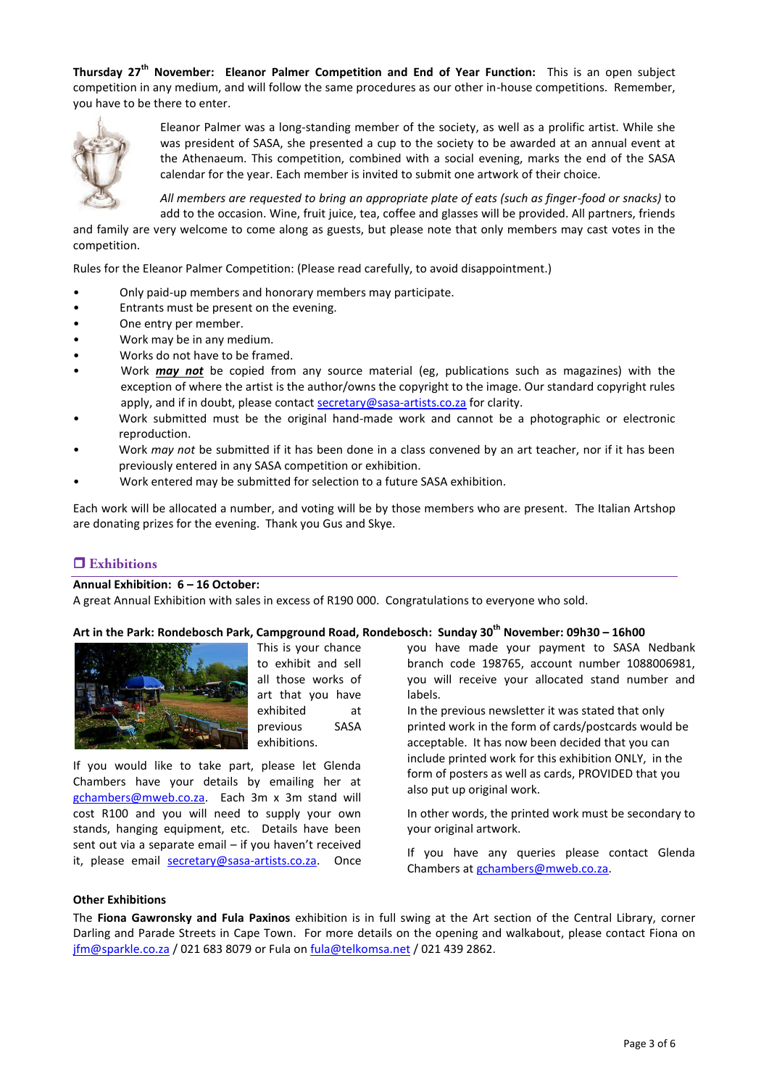**Thursday 27th November: Eleanor Palmer Competition and End of Year Function:** This is an open subject competition in any medium, and will follow the same procedures as our other in-house competitions. Remember, you have to be there to enter.



Eleanor Palmer was a long-standing member of the society, as well as a prolific artist. While she was president of SASA, she presented a cup to the society to be awarded at an annual event at the Athenaeum. This competition, combined with a social evening, marks the end of the SASA calendar for the year. Each member is invited to submit one artwork of their choice.

*All members are requested to bring an appropriate plate of eats (such as finger-food or snacks)* to add to the occasion. Wine, fruit juice, tea, coffee and glasses will be provided. All partners, friends

and family are very welcome to come along as guests, but please note that only members may cast votes in the competition.

Rules for the Eleanor Palmer Competition: (Please read carefully, to avoid disappointment.)

- Only paid-up members and honorary members may participate.
- Entrants must be present on the evening.
- One entry per member.
- Work may be in any medium.
- Works do not have to be framed.
- Work *may not* be copied from any source material (eg, publications such as magazines) with the exception of where the artist is the author/owns the copyright to the image. Our standard copyright rules apply, and if in doubt, please contac[t secretary@sasa-artists.co.za](mailto:secretary@sasa-artists.co.za) for clarity.
- Work submitted must be the original hand-made work and cannot be a photographic or electronic reproduction.
- Work *may not* be submitted if it has been done in a class convened by an art teacher, nor if it has been previously entered in any SASA competition or exhibition.
- Work entered may be submitted for selection to a future SASA exhibition.

Each work will be allocated a number, and voting will be by those members who are present. The Italian Artshop are donating prizes for the evening. Thank you Gus and Skye.

## $\Box$  Exhibitions

#### **Annual Exhibition: 6 – 16 October:**

A great Annual Exhibition with sales in excess of R190 000. Congratulations to everyone who sold.

#### **Art in the Park: Rondebosch Park, Campground Road, Rondebosch: Sunday 30th November: 09h30 – 16h00**



This is your chance to exhibit and sell all those works of art that you have exhibited at previous SASA exhibitions.

If you would like to take part, please let Glenda Chambers have your details by emailing her at [gchambers@mweb.co.za.](mailto:gchambers@mweb.co.za) Each 3m x 3m stand will cost R100 and you will need to supply your own stands, hanging equipment, etc. Details have been sent out via a separate email – if you haven't received it, please email [secretary@sasa-artists.co.za.](mailto:secretary@sasa-artists.co.za) Once

you have made your payment to SASA Nedbank branch code 198765, account number 1088006981, you will receive your allocated stand number and labels.

In the previous newsletter it was stated that only printed work in the form of cards/postcards would be acceptable. It has now been decided that you can include printed work for this exhibition ONLY, in the form of posters as well as cards, PROVIDED that you also put up original work.

In other words, the printed work must be secondary to your original artwork.

If you have any queries please contact Glenda Chambers at [gchambers@mweb.co.za.](mailto:gchambers@mweb.co.za)

#### **Other Exhibitions**

The **Fiona Gawronsky and Fula Paxinos** exhibition is in full swing at the Art section of the Central Library, corner Darling and Parade Streets in Cape Town. For more details on the opening and walkabout, please contact Fiona on [jfm@sparkle.co.za](mailto:jfm@sparkle.co.za) / 021 683 8079 or Fula o[n fula@telkomsa.net](mailto:fula@telkomsa.net) / 021 439 2862.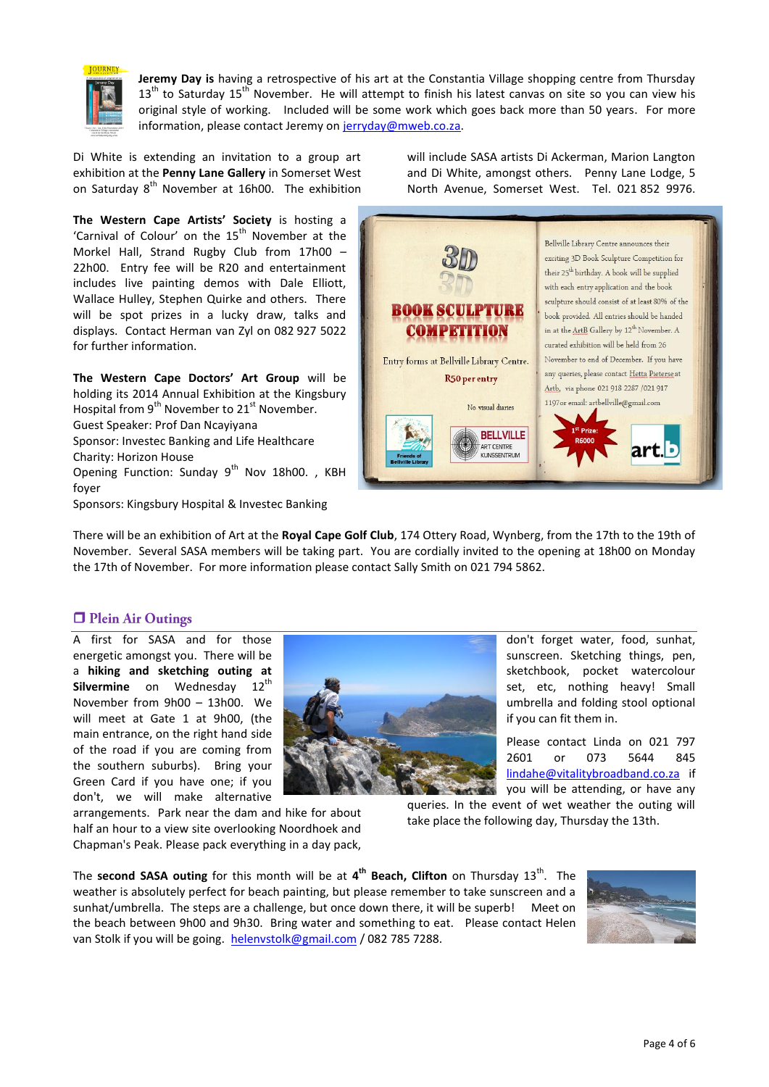

**Jeremy Day is** having a retrospective of his art at the Constantia Village shopping centre from Thursday  $13<sup>th</sup>$  to Saturday  $15<sup>th</sup>$  November. He will attempt to finish his latest canvas on site so you can view his original style of working. Included will be some work which goes back more than 50 years. For more information, please contact Jeremy o[n jerryday@mweb.co.za.](mailto:jerryday@mweb.co.za)

Di White is extending an invitation to a group art exhibition at the **Penny Lane Gallery** in Somerset West on Saturday 8<sup>th</sup> November at 16h00. The exhibition

**The Western Cape Artists' Society** is hosting a 'Carnival of Colour' on the  $15<sup>th</sup>$  November at the Morkel Hall, Strand Rugby Club from 17h00 – 22h00. Entry fee will be R20 and entertainment includes live painting demos with Dale Elliott, Wallace Hulley, Stephen Quirke and others. There will be spot prizes in a lucky draw, talks and displays. Contact Herman van Zyl on 082 927 5022 for further information.

**The Western Cape Doctors' Art Group** will be holding its 2014 Annual Exhibition at the Kingsbury Hospital from 9<sup>th</sup> November to 21<sup>st</sup> November. Guest Speaker: Prof Dan Ncayiyana Sponsor: Investec Banking and Life Healthcare Charity: Horizon House

Opening Function: Sunday  $9^{th}$  Nov 18h00., KBH foyer

Sponsors: Kingsbury Hospital & Investec Banking

will include SASA artists Di Ackerman, Marion Langton and Di White, amongst others. Penny Lane Lodge, 5 North Avenue, Somerset West. Tel. 021 852 9976.



There will be an exhibition of Art at the **Royal Cape Golf Club**, 174 Ottery Road, Wynberg, from the 17th to the 19th of November. Several SASA members will be taking part. You are cordially invited to the opening at 18h00 on Monday the 17th of November. For more information please contact Sally Smith on 021 794 5862.

## **D** Plein Air Outings

A first for SASA and for those energetic amongst you. There will be a **hiking and sketching outing at**  Silvermine on Wednesday 12<sup>th</sup> November from 9h00 – 13h00. We will meet at Gate 1 at 9h00, (the main entrance, on the right hand side of the road if you are coming from the southern suburbs). Bring your Green Card if you have one; if you don't, we will make alternative

arrangements. Park near the dam and hike for about half an hour to a view site overlooking Noordhoek and Chapman's Peak. Please pack everything in a day pack,

don't forget water, food, sunhat, sunscreen. Sketching things, pen, sketchbook, pocket watercolour set, etc, nothing heavy! Small umbrella and folding stool optional if you can fit them in.

Please contact Linda on 021 797 2601 or 073 5644 845 [lindahe@vitalitybroadband.co.za](mailto:lindahe@vitalitybroadband.co.za) if you will be attending, or have any

queries. In the event of wet weather the outing will take place the following day, Thursday the 13th.

The **second SASA outing** for this month will be at  $4^{\text{th}}$  Beach, Clifton on Thursday 13<sup>th</sup>. The weather is absolutely perfect for beach painting, but please remember to take sunscreen and a sunhat/umbrella. The steps are a challenge, but once down there, it will be superb! Meet on the beach between 9h00 and 9h30. Bring water and something to eat. Please contact Helen van Stolk if you will be going. [helenvstolk@gmail.com](mailto:helenvstolk@gmail.com) / 082 785 7288.

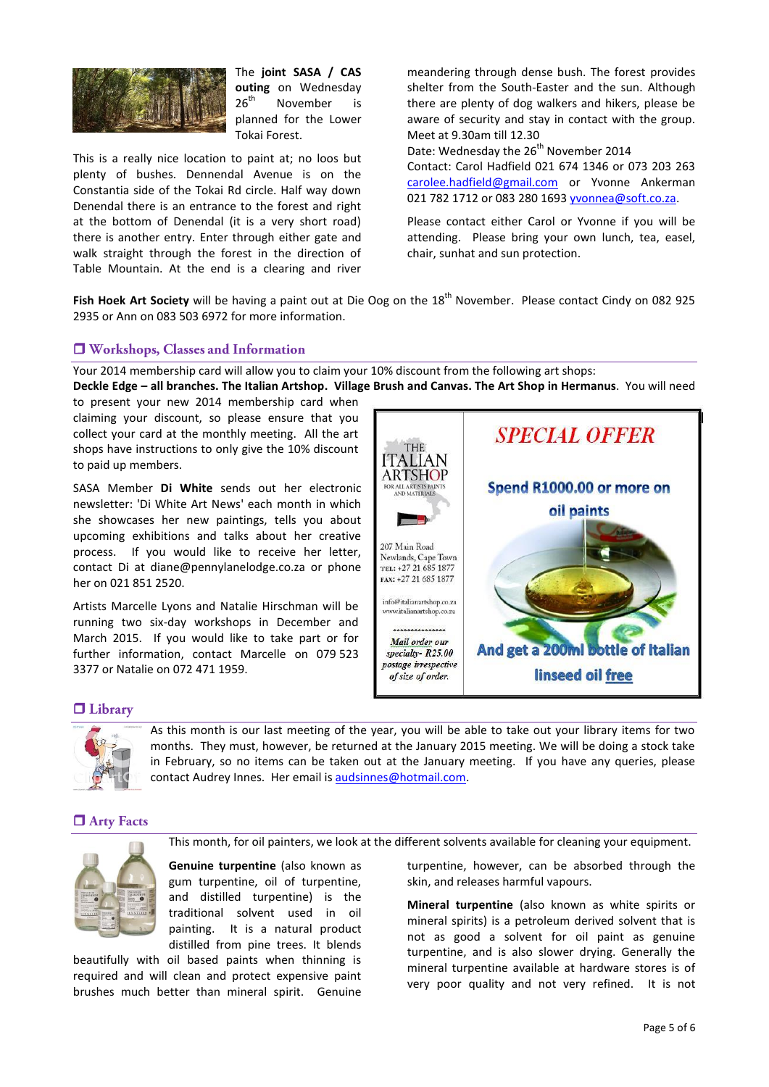

The **joint SASA / CAS outing** on Wednesday  $26<sup>th</sup>$  November is planned for the Lower Tokai Forest.

This is a really nice location to paint at; no loos but plenty of bushes. Dennendal Avenue is on the Constantia side of the Tokai Rd circle. Half way down Denendal there is an entrance to the forest and right at the bottom of Denendal (it is a very short road) there is another entry. Enter through either gate and walk straight through the forest in the direction of Table Mountain. At the end is a clearing and river meandering through dense bush. The forest provides shelter from the South-Easter and the sun. Although there are plenty of dog walkers and hikers, please be aware of security and stay in contact with the group. Meet at 9.30am till 12.30

Date: Wednesday the 26<sup>th</sup> November 2014 Contact: Carol Hadfield 021 674 1346 or 073 203 263 [carolee.hadfield@gmail.com](mailto:carolee.hadfield@gmail.com) or Yvonne Ankerman 021 782 1712 or 083 280 169[3 yvonnea@soft.co.za.](mailto:yvonnea@soft.co.za)

Please contact either Carol or Yvonne if you will be attending. Please bring your own lunch, tea, easel, chair, sunhat and sun protection.

Fish Hoek Art Society will be having a paint out at Die Oog on the 18<sup>th</sup> November. Please contact Cindy on 082 925 2935 or Ann on 083 503 6972 for more information.

## U Workshops, Classes and Information

Your 2014 membership card will allow you to claim your 10% discount from the following art shops: **Deckle Edge – all branches. The Italian Artshop. Village Brush and Canvas. The Art Shop in Hermanus**. You will need

to present your new 2014 membership card when claiming your discount, so please ensure that you collect your card at the monthly meeting. All the art shops have instructions to only give the 10% discount to paid up members.

SASA Member **Di White** sends out her electronic newsletter: 'Di White Art News' each month in which she showcases her new paintings, tells you about upcoming exhibitions and talks about her creative process. If you would like to receive her letter, contact Di at diane@pennylanelodge.co.za or phone her on 021 851 2520.

Artists Marcelle Lyons and Natalie Hirschman will be running two six-day workshops in December and March 2015. If you would like to take part or for further information, contact Marcelle on 079 523 3377 or Natalie on 072 471 1959.



## $\Box$  Library



As this month is our last meeting of the year, you will be able to take out your library items for two months. They must, however, be returned at the January 2015 meeting. We will be doing a stock take in February, so no items can be taken out at the January meeting. If you have any queries, please contact Audrey Innes. Her email is [audsinnes@hotmail.com.](mailto:audsinnes@hotmail.com)

## **D** Arty Facts

This month, for oil painters, we look at the different solvents available for cleaning your equipment.



beautifully with oil based paints when thinning is required and will clean and protect expensive paint brushes much better than mineral spirit. Genuine turpentine, however, can be absorbed through the skin, and releases harmful vapours.

**Mineral turpentine** (also known as white spirits or mineral spirits) is a petroleum derived solvent that is not as good a solvent for oil paint as genuine turpentine, and is also slower drying. Generally the mineral turpentine available at hardware stores is of very poor quality and not very refined. It is not